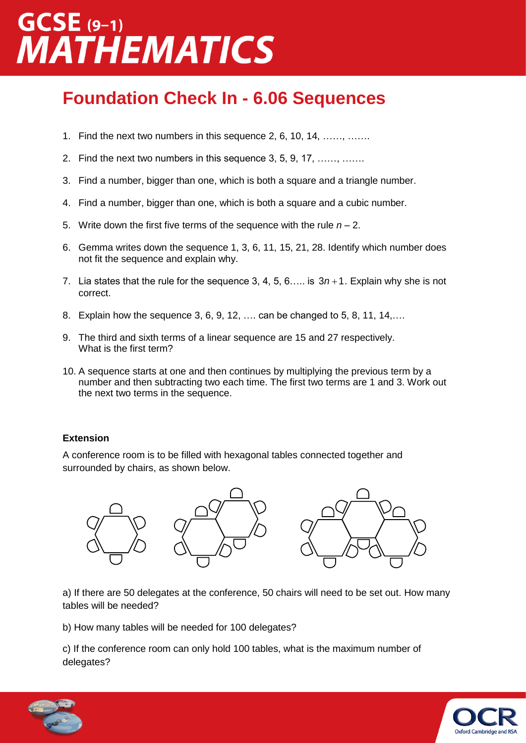## $GCSE$  (9-1) **AATHEMATICS**

### **Foundation Check In - 6.06 Sequences**

- 1. Find the next two numbers in this sequence 2, 6, 10, 14, ……, …….
- 2. Find the next two numbers in this sequence 3, 5, 9, 17, ……, …….
- 3. Find a number, bigger than one, which is both a square and a triangle number.
- 4. Find a number, bigger than one, which is both a square and a cubic number.
- 5. Write down the first five terms of the sequence with the rule *n* 2.
- 6. Gemma writes down the sequence 1, 3, 6, 11, 15, 21, 28. Identify which number does not fit the sequence and explain why.
- 7. Lia states that the rule for the sequence 3, 4, 5, 6.... is  $3n+1$ . Explain why she is not correct.
- 8. Explain how the sequence 3, 6, 9, 12, …. can be changed to 5, 8, 11, 14,….
- 9. The third and sixth terms of a linear sequence are 15 and 27 respectively. What is the first term?
- 10. A sequence starts at one and then continues by multiplying the previous term by a number and then subtracting two each time. The first two terms are 1 and 3. Work out the next two terms in the sequence.

#### **Extension**

A conference room is to be filled with hexagonal tables connected together and surrounded by chairs, as shown below.



a) If there are 50 delegates at the conference, 50 chairs will need to be set out. How many tables will be needed?

b) How many tables will be needed for 100 delegates?

c) If the conference room can only hold 100 tables, what is the maximum number of delegates?



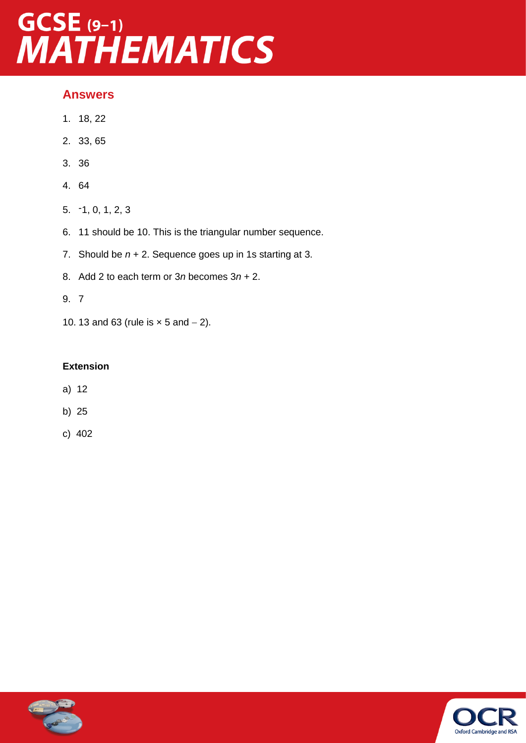# GCSE (9-1)<br>MATHEMATICS

### **Answers**

- 1. 18, 22
- 2. 33, 65
- 3. 36
- 4. 64
- 5. -1, 0, 1, 2, 3
- 6. 11 should be 10. This is the triangular number sequence.
- 7. Should be *n* + 2. Sequence goes up in 1s starting at 3.
- 8. Add 2 to each term or 3*n* becomes 3*n* + 2.
- 9. 7
- 10. 13 and 63 (rule is  $\times$  5 and  $-$  2).

### **Extension**

- a) 12
- b) 25
- c) 402